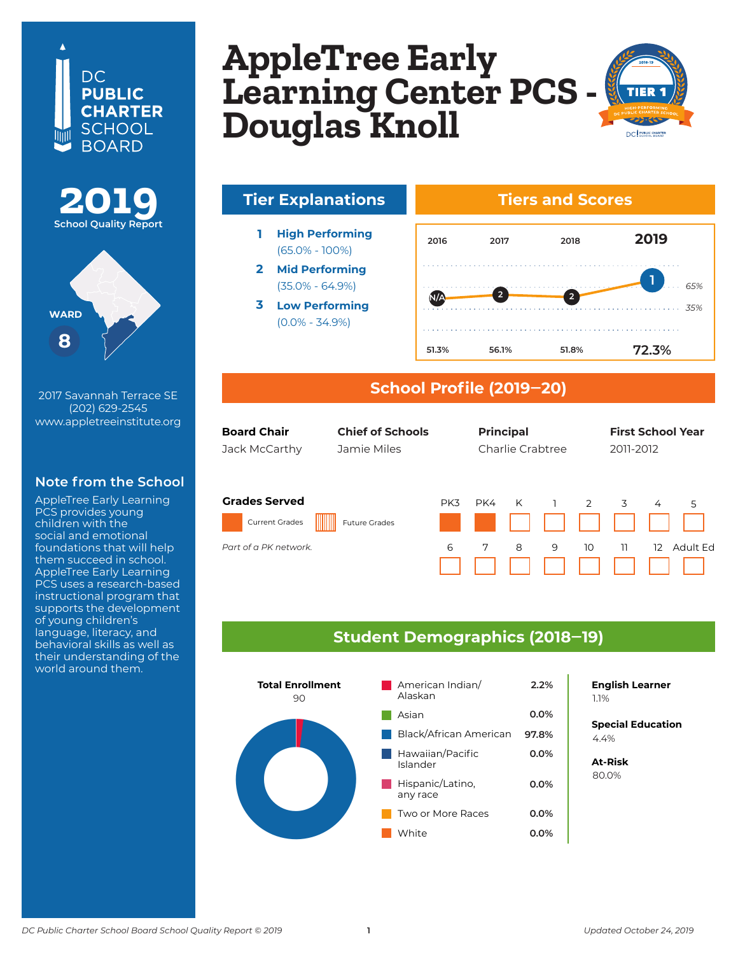## DC. **PUBLIC CHARTER** SCHOOL **BOARD**





2017 Savannah Terrace SE (202) 629-2545 www.appletreeinstitute.org

### **Note from the School**

AppleTree Early Learning PCS provides young children with the social and emotional foundations that will help them succeed in school. AppleTree Early Learning PCS uses a research-based instructional program that supports the development of young children's language, literacy, and behavioral skills as well as their understanding of the world around them.

### **AppleTree Early Learning Center Douglas Knoll AppleTree Early Learning Center PCS - Douglas Knoll**



## **Tier Explanations Tiers and Scores**

- **1 High Performing** (65.0% - 100%)
- **2 Mid Performing** (35.0% - 64.9%)
- **3 Low Performing** (0.0% - 34.9%)



### **School Profile (2019‒20)**

|    | <b>Board Chair</b><br><b>Chief of Schools</b><br>Jamie Miles<br>Jack McCarthy |                      | <b>Principal</b><br>Charlie Crabtree |     |   |   | <b>First School Year</b><br>2011-2012 |    |                   |                 |
|----|-------------------------------------------------------------------------------|----------------------|--------------------------------------|-----|---|---|---------------------------------------|----|-------------------|-----------------|
| ۱ľ | <b>Grades Served</b>                                                          |                      | PK3                                  | PK4 | K |   | $\overline{2}$                        | 3  | $\overline{4}$    | 5               |
|    | <b>Current Grades</b>                                                         | <b>Future Grades</b> |                                      |     |   |   |                                       |    |                   |                 |
|    | Part of a PK network.                                                         |                      | 6                                    | 7   | 8 | 9 | 10                                    | 11 | $12 \overline{ }$ | <b>Adult Ed</b> |

### **Student Demographics (2018‒19)**



## **English Learner**

**Special Education** 6.2% 4.4%

**At-Risk** 37.0% 80.0%